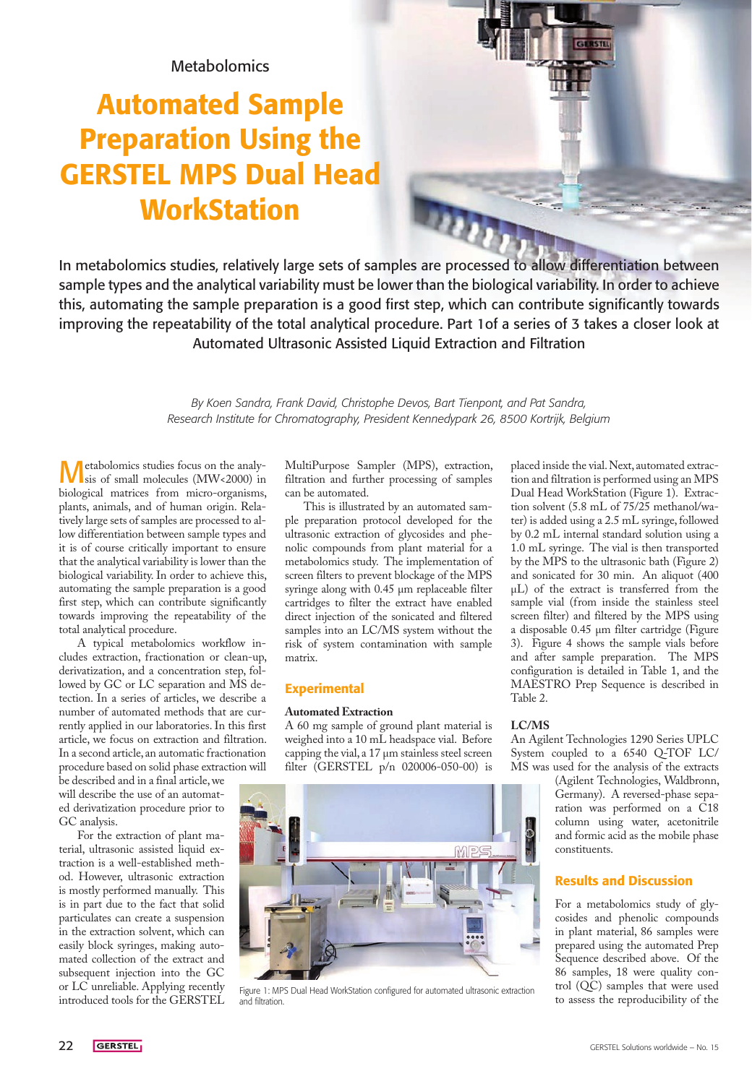## Metabolomics

# Automated Sample Preparation Using the GERSTEL MPS Dual Head **WorkStation**

**ALLI** In metabolomics studies, relatively large sets of samples are processed to allow differentiation between sample types and the analytical variability must be lower than the biological variability. In order to achieve this, automating the sample preparation is a good first step, which can contribute significantly towards improving the repeatability of the total analytical procedure. Part 1of a series of 3 takes a closer look at

> *By Koen Sandra, Frank David, Christophe Devos, Bart Tienpont, and Pat Sandra, Research Institute for Chromatography, President Kennedypark 26, 8500 Kortrijk, Belgium*

Automated Ultrasonic Assisted Liquid Extraction and Filtration

Metabolomics studies focus on the analy-sis of small molecules (MW<2000) in biological matrices from micro-organisms, plants, animals, and of human origin. Relatively large sets of samples are processed to allow differentiation between sample types and it is of course critically important to ensure that the analytical variability is lower than the biological variability. In order to achieve this, automating the sample preparation is a good first step, which can contribute significantly towards improving the repeatability of the total analytical procedure.

A typical metabolomics workflow includes extraction, fractionation or clean-up, derivatization, and a concentration step, followed by GC or LC separation and MS detection. In a series of articles, we describe a number of automated methods that are currently applied in our laboratories. In this first article, we focus on extraction and filtration. In a second article, an automatic fractionation procedure based on solid phase extraction will

be described and in a final article, we will describe the use of an automated derivatization procedure prior to GC analysis.

For the extraction of plant material, ultrasonic assisted liquid extraction is a well-established method. However, ultrasonic extraction is mostly performed manually. This is in part due to the fact that solid particulates can create a suspension in the extraction solvent, which can easily block syringes, making automated collection of the extract and subsequent injection into the GC or LC unreliable. Applying recently introduced tools for the GERSTEL

MultiPurpose Sampler (MPS), extraction, filtration and further processing of samples can be automated.

This is illustrated by an automated sample preparation protocol developed for the ultrasonic extraction of glycosides and phenolic compounds from plant material for a metabolomics study. The implementation of screen filters to prevent blockage of the MPS syringe along with 0.45 µm replaceable filter cartridges to filter the extract have enabled direct injection of the sonicated and filtered samples into an LC/MS system without the risk of system contamination with sample matrix.

## Experimental

### **Automated Extraction**

A 60 mg sample of ground plant material is weighed into a 10 mL headspace vial. Before capping the vial, a 17 µm stainless steel screen filter (GERSTEL p/n 020006-050-00) is



Figure 1: MPS Dual Head WorkStation configured for automated ultrasonic extraction and filtration.

placed inside the vial. Next, automated extraction and filtration is performed using an MPS Dual Head WorkStation (Figure 1). Extraction solvent (5.8 mL of 75/25 methanol/water) is added using a 2.5 mL syringe, followed by 0.2 mL internal standard solution using a 1.0 mL syringe. The vial is then transported by the MPS to the ultrasonic bath (Figure 2) and sonicated for 30 min. An aliquot (400 µL) of the extract is transferred from the sample vial (from inside the stainless steel screen filter) and filtered by the MPS using a disposable 0.45 µm filter cartridge (Figure 3). Figure 4 shows the sample vials before and after sample preparation. The MPS configuration is detailed in Table 1, and the MAESTRO Prep Sequence is described in Table 2.

## **LC/MS**

An Agilent Technologies 1290 Series UPLC System coupled to a 6540 Q-TOF LC/ MS was used for the analysis of the extracts

(Agilent Technologies, Waldbronn, Germany). A reversed-phase separation was performed on a C18 column using water, acetonitrile and formic acid as the mobile phase constituents.

## Results and Discussion

For a metabolomics study of glycosides and phenolic compounds in plant material, 86 samples were prepared using the automated Prep Sequence described above. Of the 86 samples, 18 were quality control (QC) samples that were used<br>to assess the reproducibility of the